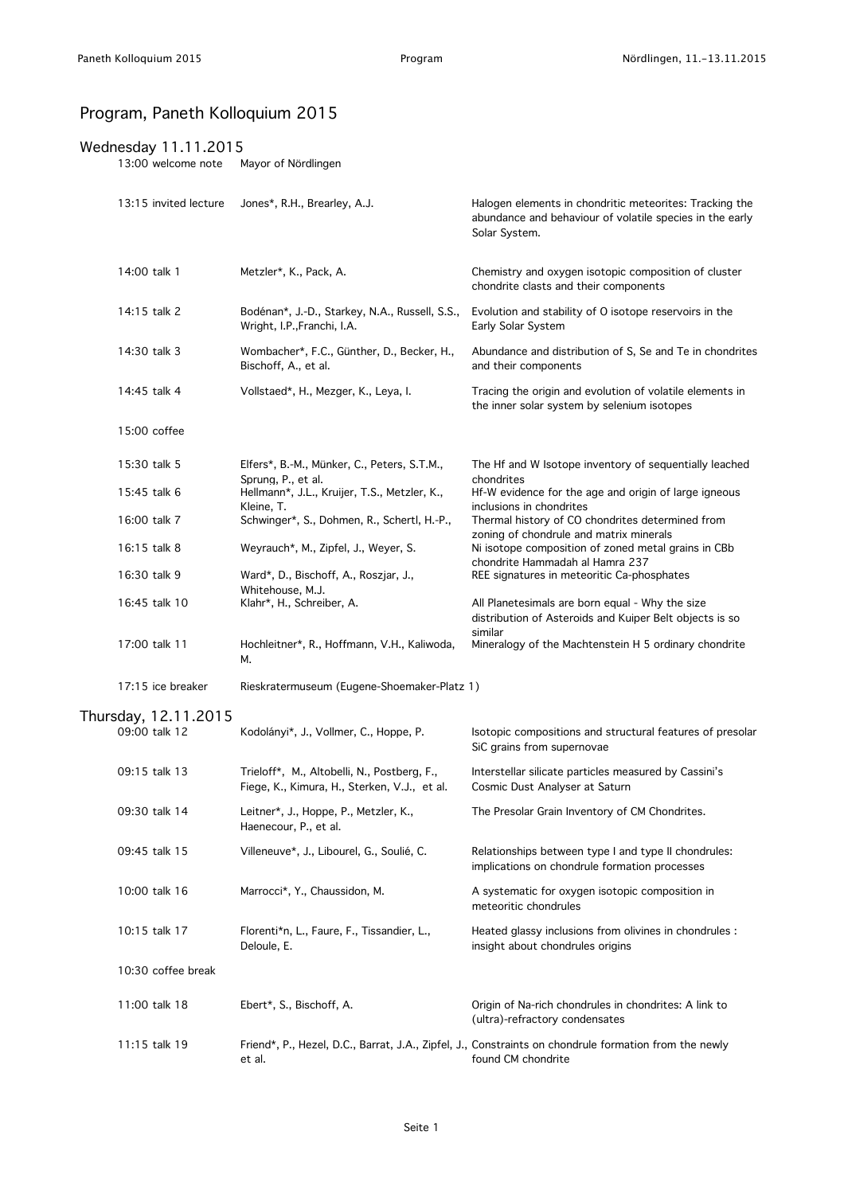## Program, Paneth Kolloquium 2015

## Wednesday 11.11.2015

13:00 welcome note Mayor of Nördlingen

|              | 13:15 invited lecture | Jones*, R.H., Brearley, A.J.                                                                | Halogen elements in chondritic meteorites: Tracking the<br>abundance and behaviour of volatile species in the early<br>Solar System. |
|--------------|-----------------------|---------------------------------------------------------------------------------------------|--------------------------------------------------------------------------------------------------------------------------------------|
| 14:00 talk 1 |                       | Metzler*, K., Pack, A.                                                                      | Chemistry and oxygen isotopic composition of cluster<br>chondrite clasts and their components                                        |
| 14:15 talk 2 |                       | Bodénan*, J.-D., Starkey, N.A., Russell, S.S.,<br>Wright, I.P., Franchi, I.A.               | Evolution and stability of O isotope reservoirs in the<br>Early Solar System                                                         |
| 14:30 talk 3 |                       | Wombacher*, F.C., Günther, D., Becker, H.,<br>Bischoff, A., et al.                          | Abundance and distribution of S, Se and Te in chondrites<br>and their components                                                     |
| 14:45 talk 4 |                       | Vollstaed*, H., Mezger, K., Leya, I.                                                        | Tracing the origin and evolution of volatile elements in<br>the inner solar system by selenium isotopes                              |
| 15:00 coffee |                       |                                                                                             |                                                                                                                                      |
| 15:30 talk 5 |                       | Elfers*, B.-M., Münker, C., Peters, S.T.M.,<br>Sprung, P., et al.                           | The Hf and W Isotope inventory of sequentially leached<br>chondrites                                                                 |
| 15:45 talk 6 |                       | Hellmann*, J.L., Kruijer, T.S., Metzler, K.,                                                | Hf-W evidence for the age and origin of large igneous                                                                                |
| 16:00 talk 7 |                       | Kleine, T.<br>Schwinger*, S., Dohmen, R., Schertl, H.-P.,                                   | inclusions in chondrites<br>Thermal history of CO chondrites determined from<br>zoning of chondrule and matrix minerals              |
| 16:15 talk 8 |                       | Weyrauch*, M., Zipfel, J., Weyer, S.                                                        | Ni isotope composition of zoned metal grains in CBb<br>chondrite Hammadah al Hamra 237                                               |
| 16:30 talk 9 |                       | Ward*, D., Bischoff, A., Roszjar, J.,<br>Whitehouse, M.J.                                   | REE signatures in meteoritic Ca-phosphates                                                                                           |
|              | 16:45 talk 10         | Klahr*, H., Schreiber, A.                                                                   | All Planetesimals are born equal - Why the size<br>distribution of Asteroids and Kuiper Belt objects is so<br>similar                |
|              | 17:00 talk 11         | Hochleitner*, R., Hoffmann, V.H., Kaliwoda,<br>М.                                           | Mineralogy of the Machtenstein H 5 ordinary chondrite                                                                                |
|              | 17:15 ice breaker     | Rieskratermuseum (Eugene-Shoemaker-Platz 1)                                                 |                                                                                                                                      |
|              | Thursday, 12.11.2015  |                                                                                             |                                                                                                                                      |
|              | 09:00 talk 12         | Kodolányi*, J., Vollmer, C., Hoppe, P.                                                      | Isotopic compositions and structural features of presolar<br>SiC grains from supernovae                                              |
|              | 09:15 talk 13         | Trieloff*, M., Altobelli, N., Postberg, F.,<br>Fiege, K., Kimura, H., Sterken, V.J., et al. | Interstellar silicate particles measured by Cassini's<br>Cosmic Dust Analyser at Saturn                                              |
|              | 09:30 talk 14         | Leitner*, J., Hoppe, P., Metzler, K.,<br>Haenecour, P., et al.                              | The Presolar Grain Inventory of CM Chondrites.                                                                                       |
|              | 09:45 talk 15         | Villeneuve*, J., Libourel, G., Soulié, C.                                                   | Relationships between type I and type II chondrules:<br>implications on chondrule formation processes                                |
|              | 10:00 talk 16         | Marrocci*, Y., Chaussidon, M.                                                               | A systematic for oxygen isotopic composition in<br>meteoritic chondrules                                                             |
|              | 10:15 talk 17         | Florenti*n, L., Faure, F., Tissandier, L.,<br>Deloule, E.                                   | Heated glassy inclusions from olivines in chondrules :<br>insight about chondrules origins                                           |
|              | 10:30 coffee break    |                                                                                             |                                                                                                                                      |
|              | 11:00 talk 18         | Ebert*, S., Bischoff, A.                                                                    | Origin of Na-rich chondrules in chondrites: A link to<br>(ultra)-refractory condensates                                              |
|              | 11:15 talk 19         | et al.                                                                                      | Friend*, P., Hezel, D.C., Barrat, J.A., Zipfel, J., Constraints on chondrule formation from the newly<br>found CM chondrite          |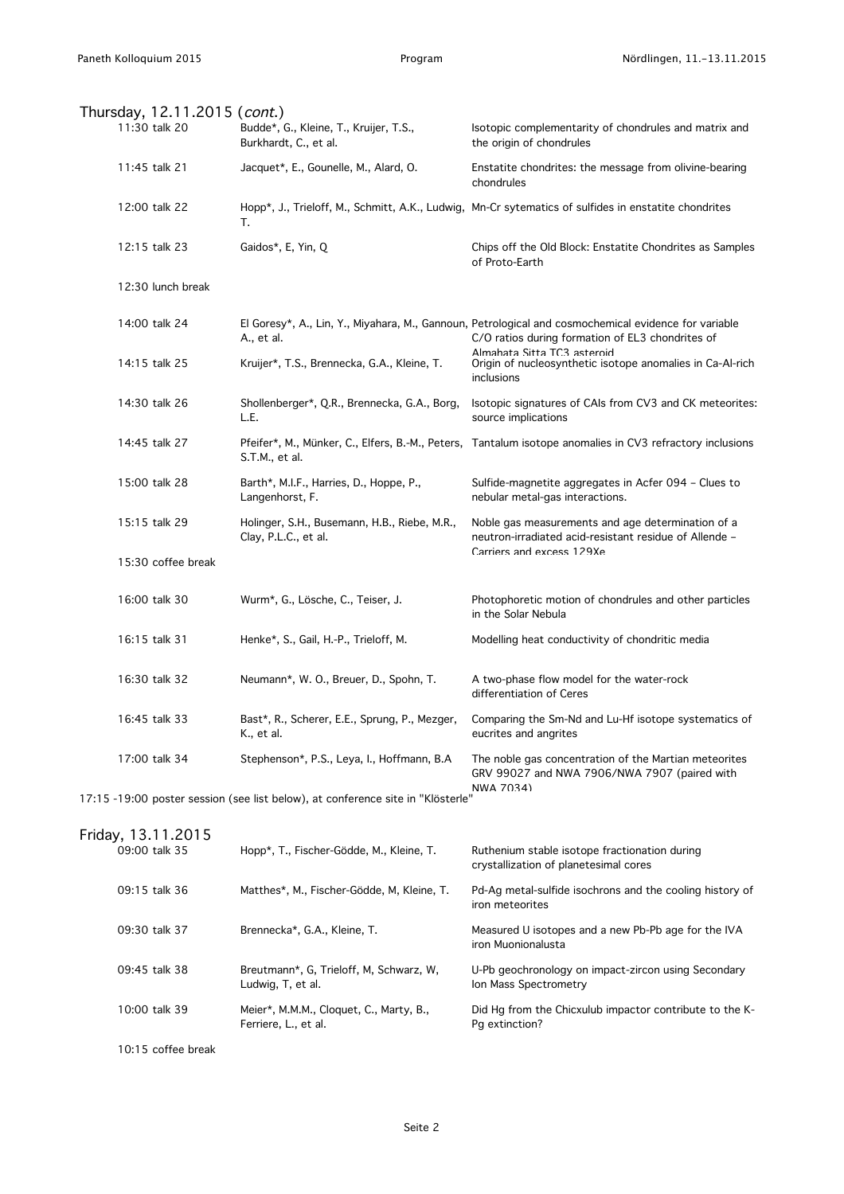| Thursday, 12.11.2015 (cont.)                                                                 |                                                                      |                                                                                                                                                          |  |  |  |  |
|----------------------------------------------------------------------------------------------|----------------------------------------------------------------------|----------------------------------------------------------------------------------------------------------------------------------------------------------|--|--|--|--|
| 11:30 talk 20                                                                                | Budde*, G., Kleine, T., Kruijer, T.S.,<br>Burkhardt, C., et al.      | Isotopic complementarity of chondrules and matrix and<br>the origin of chondrules                                                                        |  |  |  |  |
| 11:45 talk 21                                                                                | Jacquet*, E., Gounelle, M., Alard, O.                                | Enstatite chondrites: the message from olivine-bearing<br>chondrules                                                                                     |  |  |  |  |
| 12:00 talk 22                                                                                | т.                                                                   | Hopp*, J., Trieloff, M., Schmitt, A.K., Ludwig, Mn-Cr sytematics of sulfides in enstatite chondrites                                                     |  |  |  |  |
| 12:15 talk 23                                                                                | Gaidos*, E, Yin, Q                                                   | Chips off the Old Block: Enstatite Chondrites as Samples<br>of Proto-Earth                                                                               |  |  |  |  |
| 12:30 lunch break                                                                            |                                                                      |                                                                                                                                                          |  |  |  |  |
| 14:00 talk 24                                                                                | A., et al.                                                           | El Goresy*, A., Lin, Y., Miyahara, M., Gannoun, Petrological and cosmochemical evidence for variable<br>C/O ratios during formation of EL3 chondrites of |  |  |  |  |
| 14:15 talk 25                                                                                | Kruijer*, T.S., Brennecka, G.A., Kleine, T.                          | Almahata Sitta TC3 asteroid<br>Origin of nucleosynthetic isotope anomalies in Ca-Al-rich<br>inclusions                                                   |  |  |  |  |
| 14:30 talk 26                                                                                | Shollenberger*, Q.R., Brennecka, G.A., Borg,<br>L.E.                 | Isotopic signatures of CAIs from CV3 and CK meteorites:<br>source implications                                                                           |  |  |  |  |
| 14:45 talk 27                                                                                | S.T.M., et al.                                                       | Pfeifer*, M., Münker, C., Elfers, B.-M., Peters, Tantalum isotope anomalies in CV3 refractory inclusions                                                 |  |  |  |  |
| 15:00 talk 28                                                                                | Barth*, M.I.F., Harries, D., Hoppe, P.,<br>Langenhorst, F.           | Sulfide-magnetite aggregates in Acfer 094 - Clues to<br>nebular metal-gas interactions.                                                                  |  |  |  |  |
| 15:15 talk 29                                                                                | Holinger, S.H., Busemann, H.B., Riebe, M.R.,<br>Clay, P.L.C., et al. | Noble gas measurements and age determination of a<br>neutron-irradiated acid-resistant residue of Allende -                                              |  |  |  |  |
| 15:30 coffee break                                                                           |                                                                      | Carriers and excess 129Xe                                                                                                                                |  |  |  |  |
| 16:00 talk 30                                                                                | Wurm*, G., Lösche, C., Teiser, J.                                    | Photophoretic motion of chondrules and other particles<br>in the Solar Nebula                                                                            |  |  |  |  |
| 16:15 talk 31                                                                                | Henke*, S., Gail, H.-P., Trieloff, M.                                | Modelling heat conductivity of chondritic media                                                                                                          |  |  |  |  |
| 16:30 talk 32                                                                                | Neumann*, W. O., Breuer, D., Spohn, T.                               | A two-phase flow model for the water-rock<br>differentiation of Ceres                                                                                    |  |  |  |  |
| 16:45 talk 33                                                                                | Bast*, R., Scherer, E.E., Sprung, P., Mezger,<br>K., et al.          | Comparing the Sm-Nd and Lu-Hf isotope systematics of<br>eucrites and angrites                                                                            |  |  |  |  |
| 17:00 talk 34                                                                                | Stephenson*, P.S., Leya, I., Hoffmann, B.A                           | The noble gas concentration of the Martian meteorites<br>GRV 99027 and NWA 7906/NWA 7907 (paired with                                                    |  |  |  |  |
| NWA 7034)<br>17:15 -19:00 poster session (see list below), at conference site in "Klösterle" |                                                                      |                                                                                                                                                          |  |  |  |  |
| Friday, 13.11.2015                                                                           |                                                                      |                                                                                                                                                          |  |  |  |  |
| 09:00 talk 35                                                                                | Hopp*, T., Fischer-Gödde, M., Kleine, T.                             | Ruthenium stable isotope fractionation during<br>crystallization of planetesimal cores                                                                   |  |  |  |  |
| 09:15 talk 36                                                                                | Matthes*, M., Fischer-Gödde, M, Kleine, T.                           | Pd-Ag metal-sulfide isochrons and the cooling history of<br>iron meteorites                                                                              |  |  |  |  |
| 09:30 talk 37                                                                                | Brennecka*, G.A., Kleine, T.                                         | Measured U isotopes and a new Pb-Pb age for the IVA<br>iron Muonionalusta                                                                                |  |  |  |  |
| 09:45 talk 38                                                                                | Breutmann*, G, Trieloff, M, Schwarz, W,<br>Ludwig, T, et al.         | U-Pb geochronology on impact-zircon using Secondary<br>Ion Mass Spectrometry                                                                             |  |  |  |  |
| 10:00 talk 39                                                                                | Meier*, M.M.M., Cloquet, C., Marty, B.,<br>Ferriere, L., et al.      | Did Hg from the Chicxulub impactor contribute to the K-<br>Pg extinction?                                                                                |  |  |  |  |
| 10:15 coffee break                                                                           |                                                                      |                                                                                                                                                          |  |  |  |  |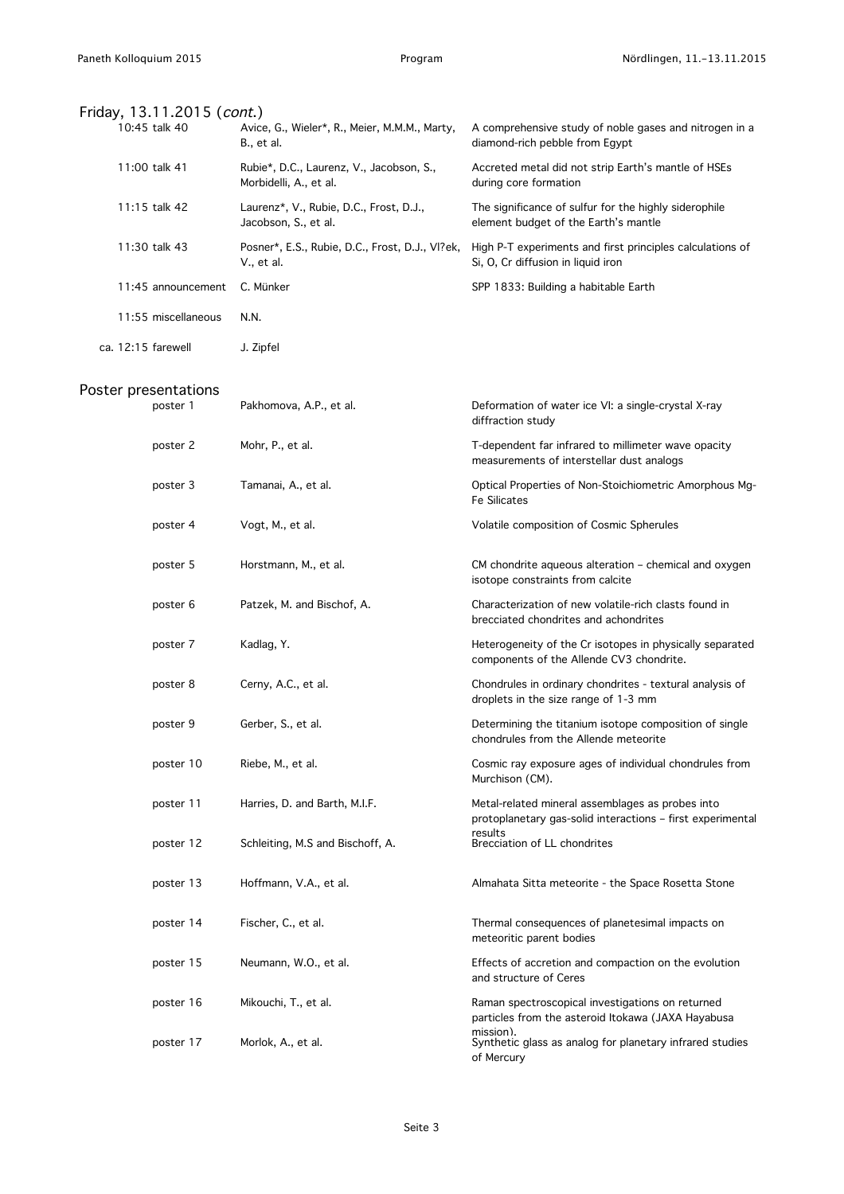|                    | Friday, 13.11.2015 (cont.) |                                                                    |                                                                                                                |
|--------------------|----------------------------|--------------------------------------------------------------------|----------------------------------------------------------------------------------------------------------------|
|                    | 10:45 talk 40              | Avice, G., Wieler*, R., Meier, M.M.M., Marty,<br>B., et al.        | A comprehensive study of noble gases and nitrogen in a<br>diamond-rich pebble from Egypt                       |
|                    | 11:00 talk 41              | Rubie*, D.C., Laurenz, V., Jacobson, S.,<br>Morbidelli, A., et al. | Accreted metal did not strip Earth's mantle of HSEs<br>during core formation                                   |
|                    | 11:15 talk 42              | Laurenz*, V., Rubie, D.C., Frost, D.J.,<br>Jacobson, S., et al.    | The significance of sulfur for the highly siderophile<br>element budget of the Earth's mantle                  |
|                    | 11:30 talk 43              | Posner*, E.S., Rubie, D.C., Frost, D.J., VI?ek,<br>V., et al.      | High P-T experiments and first principles calculations of<br>Si, O, Cr diffusion in liquid iron                |
|                    | 11:45 announcement         | C. Münker                                                          | SPP 1833: Building a habitable Earth                                                                           |
|                    | 11:55 miscellaneous        | N.N.                                                               |                                                                                                                |
| ca. 12:15 farewell |                            | J. Zipfel                                                          |                                                                                                                |
|                    | Poster presentations       |                                                                    |                                                                                                                |
|                    | poster 1                   | Pakhomova, A.P., et al.                                            | Deformation of water ice VI: a single-crystal X-ray<br>diffraction study                                       |
|                    | poster 2                   | Mohr, P., et al.                                                   | T-dependent far infrared to millimeter wave opacity<br>measurements of interstellar dust analogs               |
|                    | poster 3                   | Tamanai, A., et al.                                                | Optical Properties of Non-Stoichiometric Amorphous Mg-<br><b>Fe Silicates</b>                                  |
|                    | poster 4                   | Vogt, M., et al.                                                   | Volatile composition of Cosmic Spherules                                                                       |
|                    | poster 5                   | Horstmann, M., et al.                                              | CM chondrite aqueous alteration - chemical and oxygen<br>isotope constraints from calcite                      |
|                    | poster 6                   | Patzek, M. and Bischof, A.                                         | Characterization of new volatile-rich clasts found in<br>brecciated chondrites and achondrites                 |
|                    | poster 7                   | Kadlag, Y.                                                         | Heterogeneity of the Cr isotopes in physically separated<br>components of the Allende CV3 chondrite.           |
|                    | poster 8                   | Cerny, A.C., et al.                                                | Chondrules in ordinary chondrites - textural analysis of<br>droplets in the size range of 1-3 mm               |
|                    | poster 9                   | Gerber, S., et al.                                                 | Determining the titanium isotope composition of single<br>chondrules from the Allende meteorite                |
|                    | poster 10                  | Riebe, M., et al.                                                  | Cosmic ray exposure ages of individual chondrules from<br>Murchison (CM).                                      |
|                    | poster 11                  | Harries, D. and Barth, M.I.F.                                      | Metal-related mineral assemblages as probes into<br>protoplanetary gas-solid interactions - first experimental |
|                    | poster 12                  | Schleiting, M.S and Bischoff, A.                                   | results<br>Brecciation of LL chondrites                                                                        |
|                    | poster 13                  | Hoffmann, V.A., et al.                                             | Almahata Sitta meteorite - the Space Rosetta Stone                                                             |
|                    | poster 14                  | Fischer, C., et al.                                                | Thermal consequences of planetesimal impacts on<br>meteoritic parent bodies                                    |
|                    | poster 15                  | Neumann, W.O., et al.                                              | Effects of accretion and compaction on the evolution<br>and structure of Ceres                                 |
|                    | poster 16                  | Mikouchi, T., et al.                                               | Raman spectroscopical investigations on returned<br>particles from the asteroid Itokawa (JAXA Hayabusa         |
|                    | poster 17                  | Morlok, A., et al.                                                 | mission).<br>Synthetic glass as analog for planetary infrared studies<br>of Mercury                            |